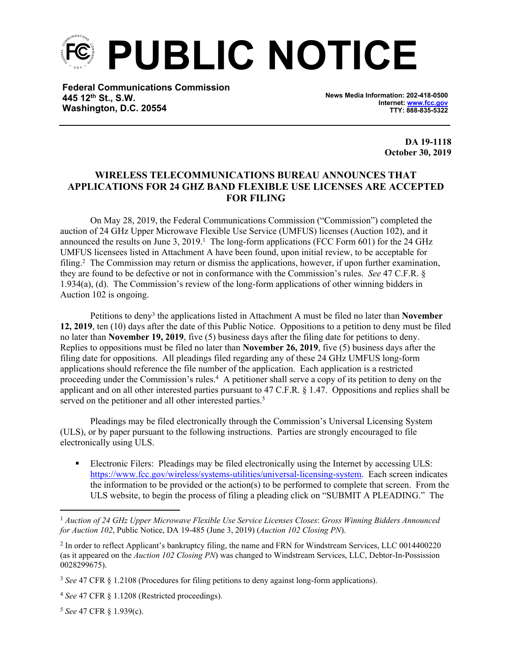**PUBLIC NOTICE**

**Federal Communications Commission 445 12th St., S.W. Washington, D.C. 20554**

**News Media Information: 202-418-0500 Internet: [www.fcc.gov](file:///C:/Users/craig.bomberger/AppData/Local/Microsoft/Windows/Temporary%20Internet%20Files/Content.Outlook/BCL5QM18/www.fcc.gov) TTY: 888-835-5322**

> **DA 19-1118 October 30, 2019**

## **WIRELESS TELECOMMUNICATIONS BUREAU ANNOUNCES THAT APPLICATIONS FOR 24 GHZ BAND FLEXIBLE USE LICENSES ARE ACCEPTED FOR FILING**

On May 28, 2019, the Federal Communications Commission ("Commission") completed the auction of 24 GHz Upper Microwave Flexible Use Service (UMFUS) licenses (Auction 102), and it announced the results on June 3,  $2019<sup>1</sup>$ . The long-form applications (FCC Form 601) for the 24 GHz UMFUS licensees listed in Attachment A have been found, upon initial review, to be acceptable for filing.<sup>2</sup> The Commission may return or dismiss the applications, however, if upon further examination, they are found to be defective or not in conformance with the Commission's rules. *See* 47 C.F.R. § 1.934(a), (d). The Commission's review of the long-form applications of other winning bidders in Auction 102 is ongoing.

Petitions to deny<sup>3</sup> the applications listed in Attachment A must be filed no later than **November 12, 2019**, ten (10) days after the date of this Public Notice. Oppositions to a petition to deny must be filed no later than **November 19, 2019**, five (5) business days after the filing date for petitions to deny. Replies to oppositions must be filed no later than **November 26, 2019**, five (5) business days after the filing date for oppositions. All pleadings filed regarding any of these 24 GHz UMFUS long-form applications should reference the file number of the application. Each application is a restricted proceeding under the Commission's rules.<sup>4</sup> A petitioner shall serve a copy of its petition to deny on the applicant and on all other interested parties pursuant to 47 C.F.R. § 1.47. Oppositions and replies shall be served on the petitioner and all other interested parties.<sup>5</sup>

Pleadings may be filed electronically through the Commission's Universal Licensing System (ULS), or by paper pursuant to the following instructions. Parties are strongly encouraged to file electronically using ULS.

**Electronic Filers: Pleadings may be filed electronically using the Internet by accessing ULS:** <https://www.fcc.gov/wireless/systems-utilities/universal-licensing-system>. Each screen indicates the information to be provided or the action(s) to be performed to complete that screen. From the ULS website, to begin the process of filing a pleading click on "SUBMIT A PLEADING." The

<sup>5</sup> *See* 47 CFR § 1.939(c).

<sup>1</sup> *Auction of 24 GHz Upper Microwave Flexible Use Service Licenses Closes*: *Gross Winning Bidders Announced for Auction 102*, Public Notice, DA 19-485 (June 3, 2019) (*Auction 102 Closing PN*).

<sup>&</sup>lt;sup>2</sup> In order to reflect Applicant's bankruptcy filing, the name and FRN for Windstream Services, LLC 0014400220 (as it appeared on the *Auction 102 Closing PN*) was changed to Windstream Services, LLC, Debtor-In-Possission 0028299675).

<sup>3</sup> *See* 47 CFR § 1.2108 (Procedures for filing petitions to deny against long-form applications).

<sup>4</sup> *See* 47 CFR § 1.1208 (Restricted proceedings).